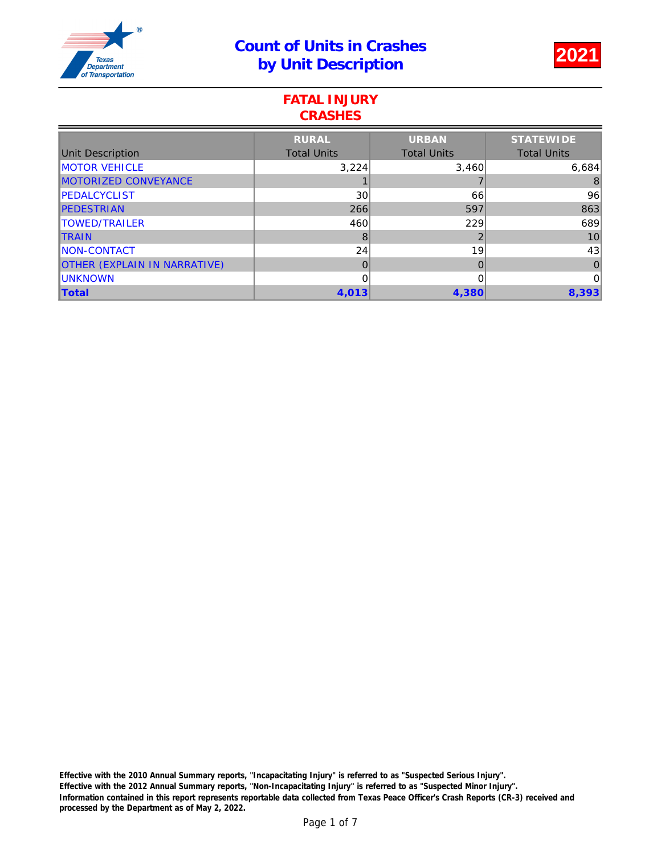

### FATAL INJURY **CRASHES**

|                                     | <b>RURAL</b>       | <b>URBAN</b>       | <b>STATEWIDE</b>   |
|-------------------------------------|--------------------|--------------------|--------------------|
| Unit Description                    | <b>Total Units</b> | <b>Total Units</b> | <b>Total Units</b> |
| <b>MOTOR VEHICLE</b>                | 3,224              | 3,460              | 6,684              |
| <b>MOTORIZED CONVEYANCE</b>         |                    |                    | 8                  |
| <b>IPEDALCYCLIST</b>                | 30                 | 66                 | 96                 |
| <b>IPEDESTRIAN</b>                  | 266                | 597                | 863                |
| <b>ITOWED/TRAILER</b>               | 460                | 229                | 689                |
| <b>ITRAIN</b>                       | 8                  | 2                  | 10                 |
| <b>INON-CONTACT</b>                 | 24                 | 19                 | 43                 |
| <b>OTHER (EXPLAIN IN NARRATIVE)</b> | 0                  | 0                  | $\overline{0}$     |
| <b>IUNKNOWN</b>                     | 0                  | 0                  | $\overline{0}$     |
| Total                               | 4,013              | 4,380              | 8,393              |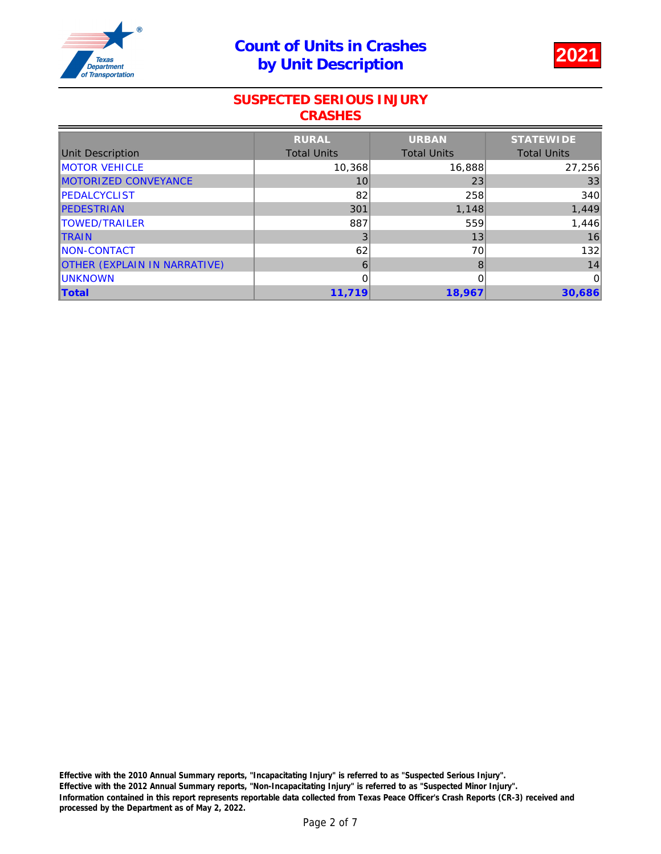## Count of Units in Crashes by Unit Description 2021



### SUSPECTED SERIOUS INJURY **CRASHES**

|                                     | <b>RURAL</b>       | <b>URBAN</b>       | <b>STATEWIDE</b>   |
|-------------------------------------|--------------------|--------------------|--------------------|
| Unit Description                    | <b>Total Units</b> | <b>Total Units</b> | <b>Total Units</b> |
| <b>MOTOR VEHICLE</b>                | 10,368             | 16,888             | 27,256             |
| MOTORIZED CONVEYANCE                | 10                 | 23                 | 33                 |
| <b>IPEDALCYCLIST</b>                | 82                 | 258                | 340                |
| <b>IPEDESTRIAN</b>                  | 301                | 1,148              | 1,449              |
| <b>ITOWED/TRAILER</b>               | 887                | 559                | 1,446              |
| <b>ITRAIN</b>                       | 3                  | 13                 | 16                 |
| <b>INON-CONTACT</b>                 | 62                 | 70                 | 132                |
| <b>OTHER (EXPLAIN IN NARRATIVE)</b> | 6                  | 8                  | 14                 |
| <b>IUNKNOWN</b>                     | 0                  | 0                  | 0                  |
| Total                               | 11,719             | 18,967             | 30,686             |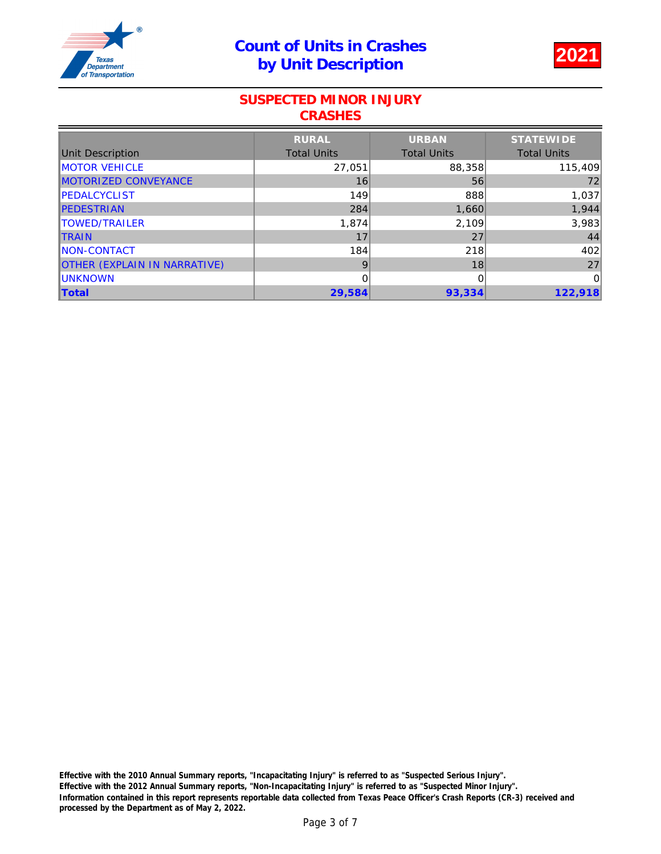# Count of Units in Crashes by Unit Description 2021



#### SUSPECTED MINOR INJURY **CRASHES**

|                                     | <b>RURAL</b>       | <b>URBAN</b>       | <b>STATEWIDE</b>   |
|-------------------------------------|--------------------|--------------------|--------------------|
| Unit Description                    | <b>Total Units</b> | <b>Total Units</b> | <b>Total Units</b> |
| <b>IMOTOR VEHICLE</b>               | 27,051             | 88,358             | 115,409            |
| MOTORIZED CONVEYANCE                | 16                 | 56                 | 72                 |
| <b>IPEDALCYCLIST</b>                | 149                | 888                | 1,037              |
| <b>IPEDESTRIAN</b>                  | 284                | 1,660              | 1,944              |
| <b>ITOWED/TRAILER</b>               | 1,874              | 2,109              | 3,983              |
| <b>ITRAIN</b>                       | 17                 | 27                 | 44                 |
| <b>INON-CONTACT</b>                 | 184                | 218                | 402                |
| <b>OTHER (EXPLAIN IN NARRATIVE)</b> | 9                  | 18                 | 27                 |
| <b>IUNKNOWN</b>                     | 0                  | 0                  | $\overline{0}$     |
| Total                               | 29,584             | 93,334             | 122,918            |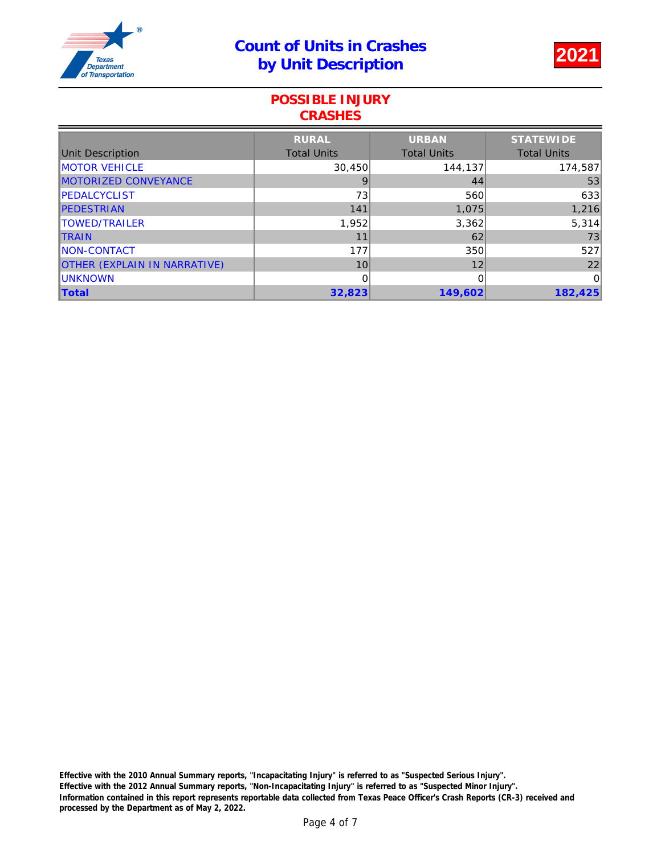

### POSSIBLE INJURY **CRASHES**

|                                     | <b>RURAL</b>       | <b>URBAN</b>       | <b>STATEWIDE</b>   |
|-------------------------------------|--------------------|--------------------|--------------------|
| Unit Description                    | <b>Total Units</b> | <b>Total Units</b> | <b>Total Units</b> |
| <b>MOTOR VEHICLE</b>                | 30,450             | 144,137            | 174,587            |
| MOTORIZED CONVEYANCE                | 9                  | 44                 | 53                 |
| <b>IPEDALCYCLIST</b>                | 73                 | 560                | 633                |
| <b>IPEDESTRIAN</b>                  | 141                | 1,075              | 1,216              |
| <b>ITOWED/TRAILER</b>               | 1,952              | 3,362              | 5,314              |
| <b>ITRAIN</b>                       | 11                 | 62                 | 73                 |
| <b>INON-CONTACT</b>                 | 177                | 350                | 527                |
| <b>OTHER (EXPLAIN IN NARRATIVE)</b> | 10                 | 12                 | 22                 |
| <b>IUNKNOWN</b>                     | 0                  | 0                  | 0                  |
| <b>Total</b>                        | 32,823             | 149,602            | 182,425            |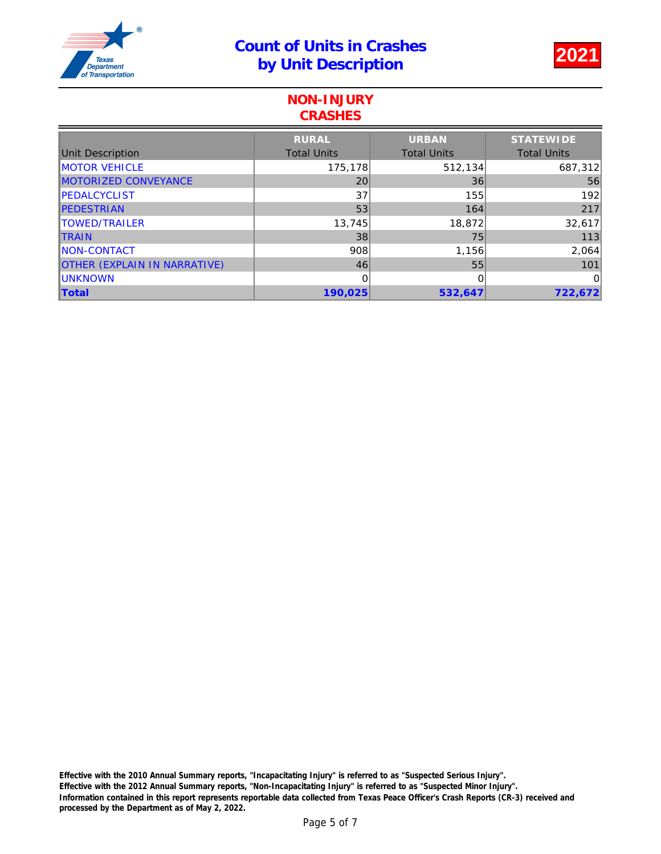

#### NON-INJURY **CRASHES**

|                                     | <b>RURAL</b>       | <b>URBAN</b>       | <b>STATEWIDE</b>   |
|-------------------------------------|--------------------|--------------------|--------------------|
| Unit Description                    | <b>Total Units</b> | <b>Total Units</b> | <b>Total Units</b> |
| <b>MOTOR VEHICLE</b>                | 175,178            | 512,134            | 687,312            |
| MOTORIZED CONVEYANCE                | 20                 | 36                 | 56                 |
| <b>IPEDALCYCLIST</b>                | 37                 | 155                | 192                |
| <b>IPEDESTRIAN</b>                  | 53                 | 164                | 217                |
| TOWED/TRAILER                       | 13,745             | 18,872             | 32,617             |
| <b>ITRAIN</b>                       | 38                 | 75                 | 113                |
| <b>NON-CONTACT</b>                  | 908                | 1,156              | 2,064              |
| <b>OTHER (EXPLAIN IN NARRATIVE)</b> | 46                 | 55                 | 101                |
| <b>IUNKNOWN</b>                     | 0                  | 0                  | 0                  |
| <b>Total</b>                        | 190,025            | 532,647            | 722,672            |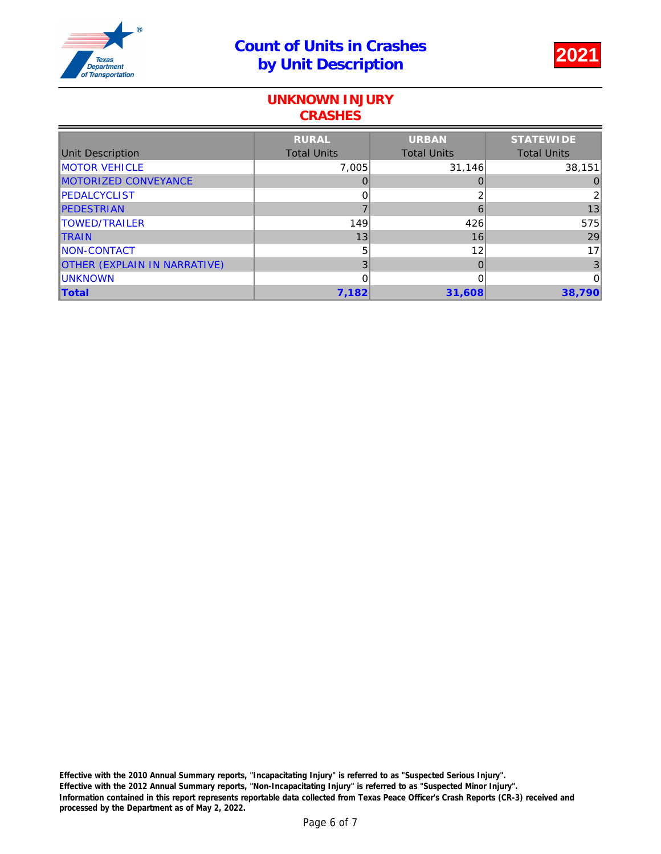

### UNKNOWN INJURY **CRASHES**

|                                     | <b>RURAL</b>       | <b>URBAN</b>       | <b>STATEWIDE</b>   |
|-------------------------------------|--------------------|--------------------|--------------------|
| Unit Description                    | <b>Total Units</b> | <b>Total Units</b> | <b>Total Units</b> |
| <b>MOTOR VEHICLE</b>                | 7,005              | 31,146             | 38,151             |
| MOTORIZED CONVEYANCE                |                    |                    | 0                  |
| <b>IPEDALCYCLIST</b>                | 0                  | ⌒                  | $\overline{2}$     |
| <b>IPEDESTRIAN</b>                  |                    | 6                  | 13                 |
| <b>ITOWED/TRAILER</b>               | 149                | 426                | 575                |
| <b>ITRAIN</b>                       | 13                 | 16                 | 29                 |
| <b>INON-CONTACT</b>                 | 5                  | 12                 | 17                 |
| <b>OTHER (EXPLAIN IN NARRATIVE)</b> | 3                  | 0                  | 3                  |
| <b>IUNKNOWN</b>                     | 0                  | 0                  | 0                  |
| <b>Total</b>                        | 7,182              | 31,608             | 38,790             |